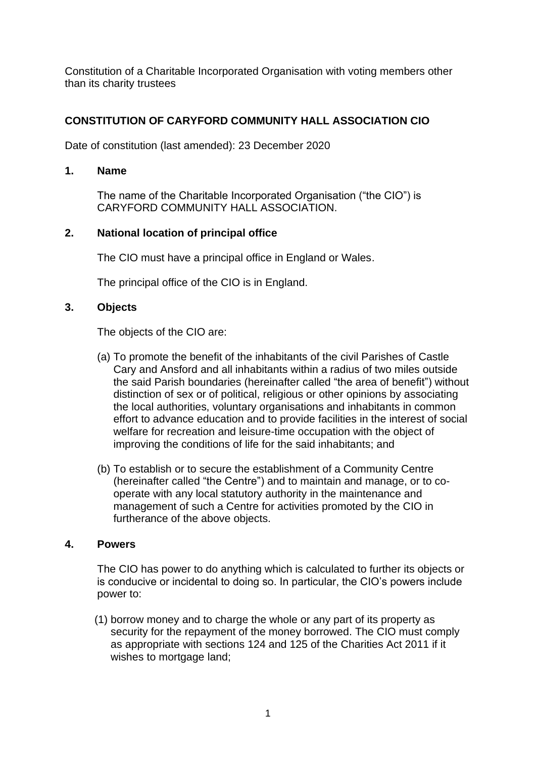Constitution of a Charitable Incorporated Organisation with voting members other than its charity trustees

# **CONSTITUTION OF CARYFORD COMMUNITY HALL ASSOCIATION CIO**

Date of constitution (last amended): 23 December 2020

#### **1. Name**

The name of the Charitable Incorporated Organisation ("the CIO") is CARYFORD COMMUNITY HALL ASSOCIATION.

### **2. National location of principal office**

The CIO must have a principal office in England or Wales.

The principal office of the CIO is in England.

### **3. Objects**

The objects of the CIO are:

- (a) To promote the benefit of the inhabitants of the civil Parishes of Castle Cary and Ansford and all inhabitants within a radius of two miles outside the said Parish boundaries (hereinafter called "the area of benefit") without distinction of sex or of political, religious or other opinions by associating the local authorities, voluntary organisations and inhabitants in common effort to advance education and to provide facilities in the interest of social welfare for recreation and leisure-time occupation with the object of improving the conditions of life for the said inhabitants; and
- (b) To establish or to secure the establishment of a Community Centre (hereinafter called "the Centre") and to maintain and manage, or to cooperate with any local statutory authority in the maintenance and management of such a Centre for activities promoted by the CIO in furtherance of the above objects.

#### **4. Powers**

The CIO has power to do anything which is calculated to further its objects or is conducive or incidental to doing so. In particular, the CIO's powers include power to:

(1) borrow money and to charge the whole or any part of its property as security for the repayment of the money borrowed. The CIO must comply as appropriate with sections 124 and 125 of the Charities Act 2011 if it wishes to mortgage land;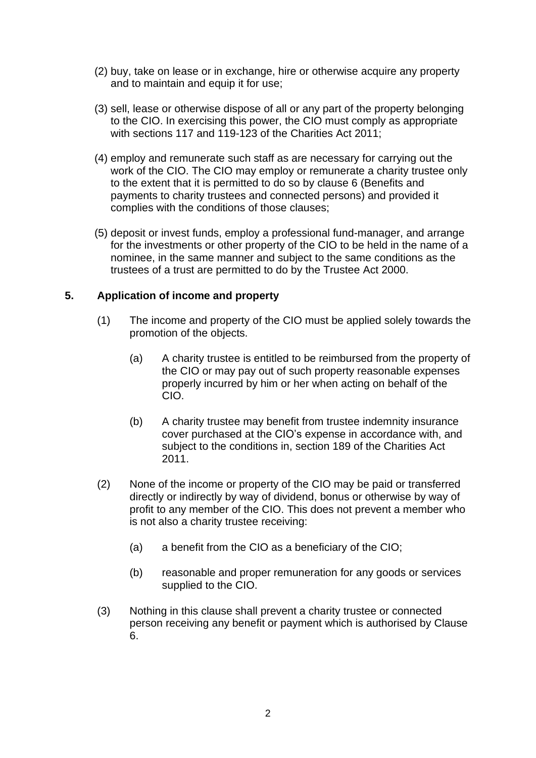- (2) buy, take on lease or in exchange, hire or otherwise acquire any property and to maintain and equip it for use;
- (3) sell, lease or otherwise dispose of all or any part of the property belonging to the CIO. In exercising this power, the CIO must comply as appropriate with sections 117 and 119-123 of the Charities Act 2011;
- (4) employ and remunerate such staff as are necessary for carrying out the work of the CIO. The CIO may employ or remunerate a charity trustee only to the extent that it is permitted to do so by clause 6 (Benefits and payments to charity trustees and connected persons) and provided it complies with the conditions of those clauses;
- (5) deposit or invest funds, employ a professional fund-manager, and arrange for the investments or other property of the CIO to be held in the name of a nominee, in the same manner and subject to the same conditions as the trustees of a trust are permitted to do by the Trustee Act 2000.

# **5. Application of income and property**

- (1) The income and property of the CIO must be applied solely towards the promotion of the objects.
	- (a) A charity trustee is entitled to be reimbursed from the property of the CIO or may pay out of such property reasonable expenses properly incurred by him or her when acting on behalf of the CIO.
	- (b) A charity trustee may benefit from trustee indemnity insurance cover purchased at the CIO's expense in accordance with, and subject to the conditions in, section 189 of the Charities Act 2011.
- (2) None of the income or property of the CIO may be paid or transferred directly or indirectly by way of dividend, bonus or otherwise by way of profit to any member of the CIO. This does not prevent a member who is not also a charity trustee receiving:
	- (a) a benefit from the CIO as a beneficiary of the CIO;
	- (b) reasonable and proper remuneration for any goods or services supplied to the CIO.
- (3) Nothing in this clause shall prevent a charity trustee or connected person receiving any benefit or payment which is authorised by Clause 6.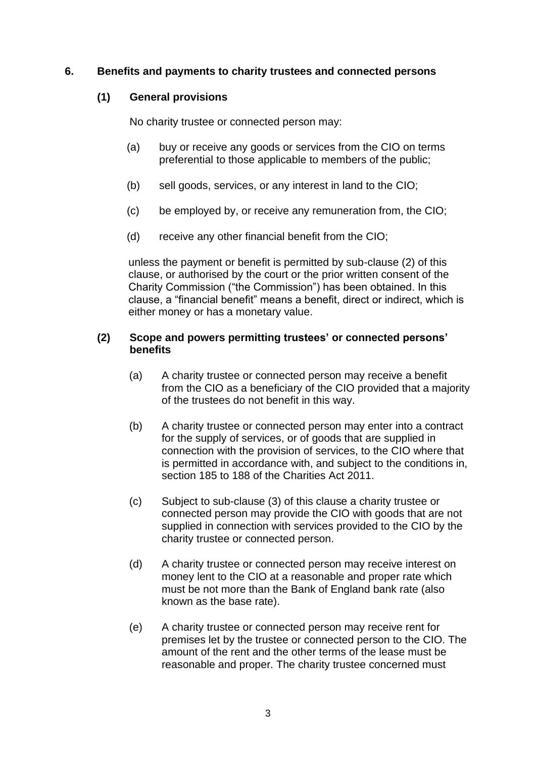#### **6. Benefits and payments to charity trustees and connected persons**

#### **(1) General provisions**

No charity trustee or connected person may:

- (a) buy or receive any goods or services from the CIO on terms preferential to those applicable to members of the public;
- (b) sell goods, services, or any interest in land to the CIO;
- (c) be employed by, or receive any remuneration from, the CIO;
- (d) receive any other financial benefit from the CIO;

unless the payment or benefit is permitted by sub-clause (2) of this clause, or authorised by the court or the prior written consent of the Charity Commission ("the Commission") has been obtained. In this clause, a "financial benefit" means a benefit, direct or indirect, which is either money or has a monetary value.

#### **(2) Scope and powers permitting trustees' or connected persons' benefits**

- (a) A charity trustee or connected person may receive a benefit from the CIO as a beneficiary of the CIO provided that a majority of the trustees do not benefit in this way.
- (b) A charity trustee or connected person may enter into a contract for the supply of services, or of goods that are supplied in connection with the provision of services, to the CIO where that is permitted in accordance with, and subject to the conditions in, section 185 to 188 of the Charities Act 2011.
- (c) Subject to sub-clause (3) of this clause a charity trustee or connected person may provide the CIO with goods that are not supplied in connection with services provided to the CIO by the charity trustee or connected person.
- (d) A charity trustee or connected person may receive interest on money lent to the CIO at a reasonable and proper rate which must be not more than the Bank of England bank rate (also known as the base rate).
- (e) A charity trustee or connected person may receive rent for premises let by the trustee or connected person to the CIO. The amount of the rent and the other terms of the lease must be reasonable and proper. The charity trustee concerned must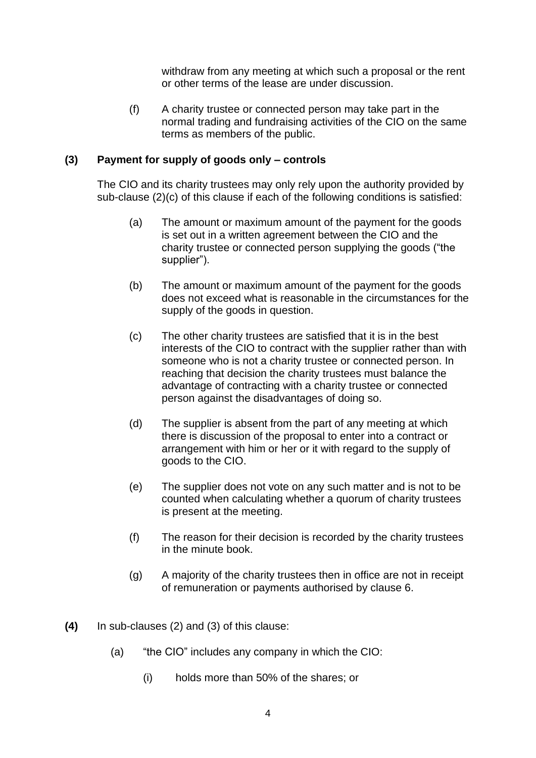withdraw from any meeting at which such a proposal or the rent or other terms of the lease are under discussion.

(f) A charity trustee or connected person may take part in the normal trading and fundraising activities of the CIO on the same terms as members of the public.

#### **(3) Payment for supply of goods only – controls**

The CIO and its charity trustees may only rely upon the authority provided by sub-clause (2)(c) of this clause if each of the following conditions is satisfied:

- (a) The amount or maximum amount of the payment for the goods is set out in a written agreement between the CIO and the charity trustee or connected person supplying the goods ("the supplier").
- (b) The amount or maximum amount of the payment for the goods does not exceed what is reasonable in the circumstances for the supply of the goods in question.
- (c) The other charity trustees are satisfied that it is in the best interests of the CIO to contract with the supplier rather than with someone who is not a charity trustee or connected person. In reaching that decision the charity trustees must balance the advantage of contracting with a charity trustee or connected person against the disadvantages of doing so.
- (d) The supplier is absent from the part of any meeting at which there is discussion of the proposal to enter into a contract or arrangement with him or her or it with regard to the supply of goods to the CIO.
- (e) The supplier does not vote on any such matter and is not to be counted when calculating whether a quorum of charity trustees is present at the meeting.
- (f) The reason for their decision is recorded by the charity trustees in the minute book.
- (g) A majority of the charity trustees then in office are not in receipt of remuneration or payments authorised by clause 6.
- **(4)** In sub-clauses (2) and (3) of this clause:
	- (a) "the CIO" includes any company in which the CIO:
		- (i) holds more than 50% of the shares; or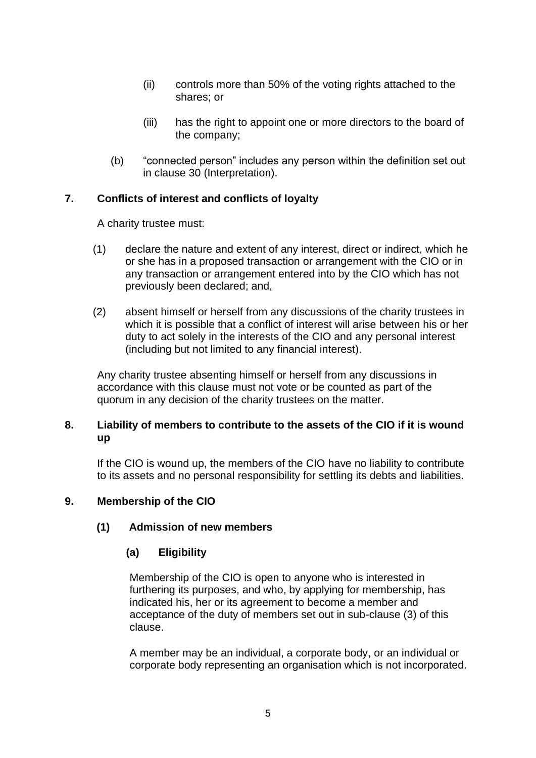- (ii) controls more than 50% of the voting rights attached to the shares; or
- (iii) has the right to appoint one or more directors to the board of the company;
- (b) "connected person" includes any person within the definition set out in clause 30 (Interpretation).

### **7. Conflicts of interest and conflicts of loyalty**

A charity trustee must:

- (1) declare the nature and extent of any interest, direct or indirect, which he or she has in a proposed transaction or arrangement with the CIO or in any transaction or arrangement entered into by the CIO which has not previously been declared; and,
- (2) absent himself or herself from any discussions of the charity trustees in which it is possible that a conflict of interest will arise between his or her duty to act solely in the interests of the CIO and any personal interest (including but not limited to any financial interest).

Any charity trustee absenting himself or herself from any discussions in accordance with this clause must not vote or be counted as part of the quorum in any decision of the charity trustees on the matter.

### **8. Liability of members to contribute to the assets of the CIO if it is wound up**

If the CIO is wound up, the members of the CIO have no liability to contribute to its assets and no personal responsibility for settling its debts and liabilities.

# **9. Membership of the CIO**

# **(1) Admission of new members**

# **(a) Eligibility**

Membership of the CIO is open to anyone who is interested in furthering its purposes, and who, by applying for membership, has indicated his, her or its agreement to become a member and acceptance of the duty of members set out in sub-clause (3) of this clause.

A member may be an individual, a corporate body, or an individual or corporate body representing an organisation which is not incorporated.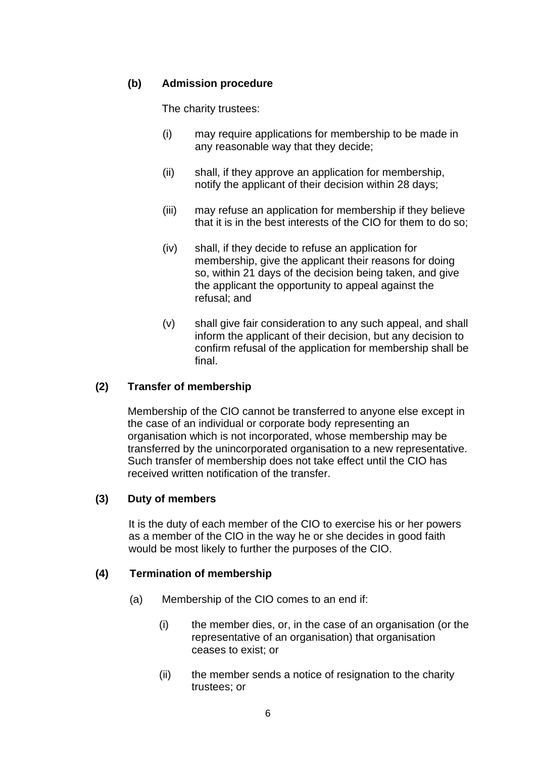### **(b) Admission procedure**

The charity trustees:

- (i) may require applications for membership to be made in any reasonable way that they decide;
- (ii) shall, if they approve an application for membership, notify the applicant of their decision within 28 days;
- (iii) may refuse an application for membership if they believe that it is in the best interests of the CIO for them to do so;
- (iv) shall, if they decide to refuse an application for membership, give the applicant their reasons for doing so, within 21 days of the decision being taken, and give the applicant the opportunity to appeal against the refusal; and
- (v) shall give fair consideration to any such appeal, and shall inform the applicant of their decision, but any decision to confirm refusal of the application for membership shall be final.

#### **(2) Transfer of membership**

Membership of the CIO cannot be transferred to anyone else except in the case of an individual or corporate body representing an organisation which is not incorporated, whose membership may be transferred by the unincorporated organisation to a new representative. Such transfer of membership does not take effect until the CIO has received written notification of the transfer.

#### **(3) Duty of members**

It is the duty of each member of the CIO to exercise his or her powers as a member of the CIO in the way he or she decides in good faith would be most likely to further the purposes of the CIO.

#### **(4) Termination of membership**

- (a) Membership of the CIO comes to an end if:
	- (i) the member dies, or, in the case of an organisation (or the representative of an organisation) that organisation ceases to exist; or
	- (ii) the member sends a notice of resignation to the charity trustees; or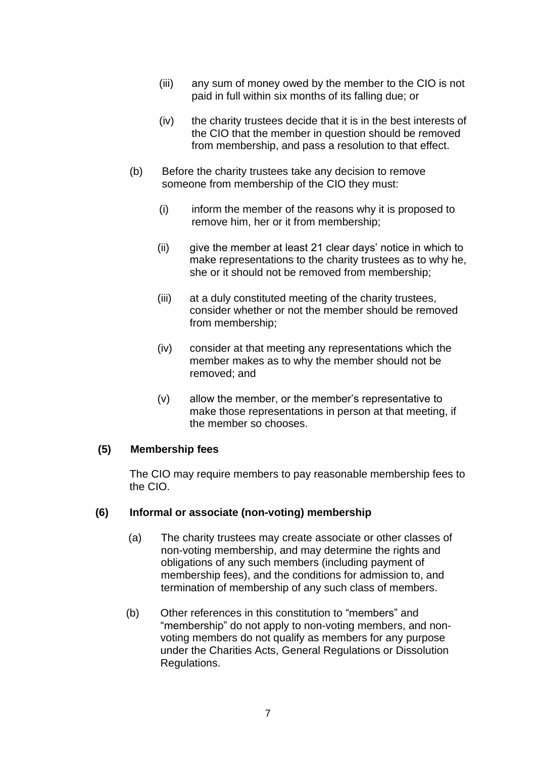- (iii) any sum of money owed by the member to the CIO is not paid in full within six months of its falling due; or
- (iv) the charity trustees decide that it is in the best interests of the CIO that the member in question should be removed from membership, and pass a resolution to that effect.
- (b) Before the charity trustees take any decision to remove someone from membership of the CIO they must:
	- (i) inform the member of the reasons why it is proposed to remove him, her or it from membership;
	- (ii) give the member at least 21 clear days' notice in which to make representations to the charity trustees as to why he, she or it should not be removed from membership;
	- (iii) at a duly constituted meeting of the charity trustees, consider whether or not the member should be removed from membership;
	- (iv) consider at that meeting any representations which the member makes as to why the member should not be removed; and
	- (v) allow the member, or the member's representative to make those representations in person at that meeting, if the member so chooses.

#### **(5) Membership fees**

The CIO may require members to pay reasonable membership fees to the CIO.

#### **(6) Informal or associate (non-voting) membership**

- (a) The charity trustees may create associate or other classes of non-voting membership, and may determine the rights and obligations of any such members (including payment of membership fees), and the conditions for admission to, and termination of membership of any such class of members.
- (b) Other references in this constitution to "members" and "membership" do not apply to non-voting members, and nonvoting members do not qualify as members for any purpose under the Charities Acts, General Regulations or Dissolution Regulations.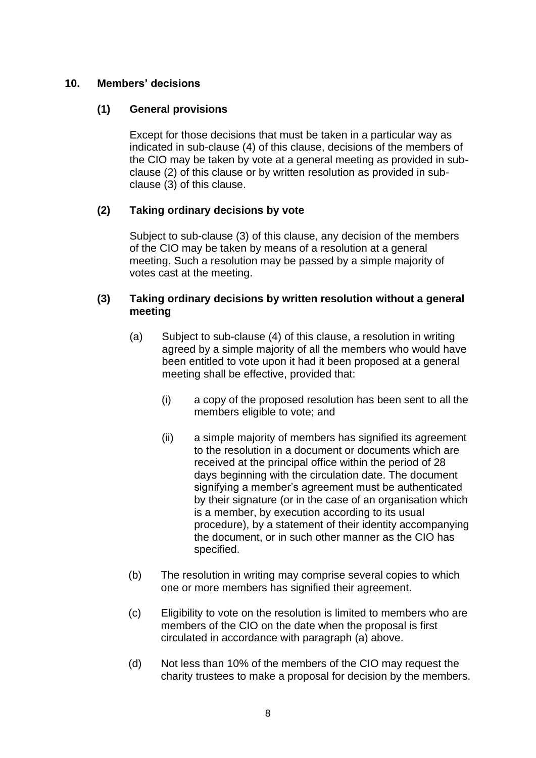### **10. Members' decisions**

### **(1) General provisions**

Except for those decisions that must be taken in a particular way as indicated in sub-clause (4) of this clause, decisions of the members of the CIO may be taken by vote at a general meeting as provided in subclause (2) of this clause or by written resolution as provided in subclause (3) of this clause.

# **(2) Taking ordinary decisions by vote**

Subject to sub-clause (3) of this clause, any decision of the members of the CIO may be taken by means of a resolution at a general meeting. Such a resolution may be passed by a simple majority of votes cast at the meeting.

#### **(3) Taking ordinary decisions by written resolution without a general meeting**

- (a) Subject to sub-clause (4) of this clause, a resolution in writing agreed by a simple majority of all the members who would have been entitled to vote upon it had it been proposed at a general meeting shall be effective, provided that:
	- (i) a copy of the proposed resolution has been sent to all the members eligible to vote; and
	- (ii) a simple majority of members has signified its agreement to the resolution in a document or documents which are received at the principal office within the period of 28 days beginning with the circulation date. The document signifying a member's agreement must be authenticated by their signature (or in the case of an organisation which is a member, by execution according to its usual procedure), by a statement of their identity accompanying the document, or in such other manner as the CIO has specified.
- (b) The resolution in writing may comprise several copies to which one or more members has signified their agreement.
- (c) Eligibility to vote on the resolution is limited to members who are members of the CIO on the date when the proposal is first circulated in accordance with paragraph (a) above.
- (d) Not less than 10% of the members of the CIO may request the charity trustees to make a proposal for decision by the members.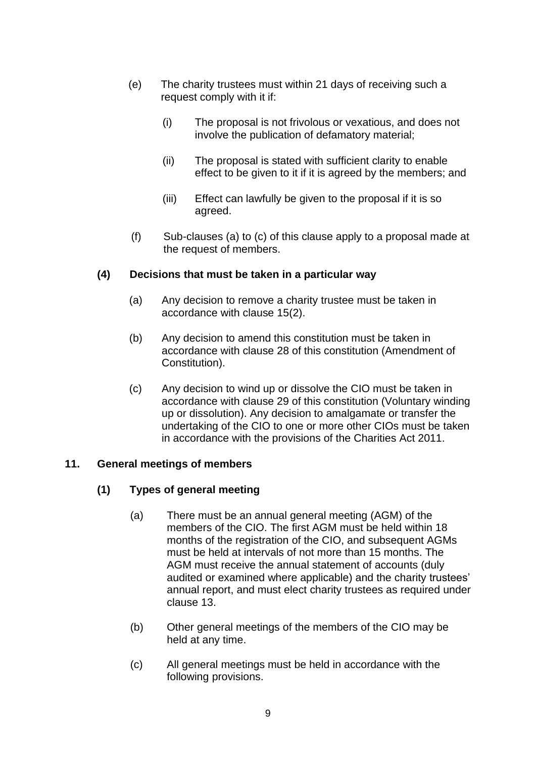- (e) The charity trustees must within 21 days of receiving such a request comply with it if:
	- (i) The proposal is not frivolous or vexatious, and does not involve the publication of defamatory material;
	- (ii) The proposal is stated with sufficient clarity to enable effect to be given to it if it is agreed by the members; and
	- (iii) Effect can lawfully be given to the proposal if it is so agreed.
- (f) Sub-clauses (a) to (c) of this clause apply to a proposal made at the request of members.

### **(4) Decisions that must be taken in a particular way**

- (a) Any decision to remove a charity trustee must be taken in accordance with clause 15(2).
- (b) Any decision to amend this constitution must be taken in accordance with clause 28 of this constitution (Amendment of Constitution).
- (c) Any decision to wind up or dissolve the CIO must be taken in accordance with clause 29 of this constitution (Voluntary winding up or dissolution). Any decision to amalgamate or transfer the undertaking of the CIO to one or more other CIOs must be taken in accordance with the provisions of the Charities Act 2011.

#### **11. General meetings of members**

# **(1) Types of general meeting**

- (a) There must be an annual general meeting (AGM) of the members of the CIO. The first AGM must be held within 18 months of the registration of the CIO, and subsequent AGMs must be held at intervals of not more than 15 months. The AGM must receive the annual statement of accounts (duly audited or examined where applicable) and the charity trustees' annual report, and must elect charity trustees as required under clause 13.
- (b) Other general meetings of the members of the CIO may be held at any time.
- (c) All general meetings must be held in accordance with the following provisions.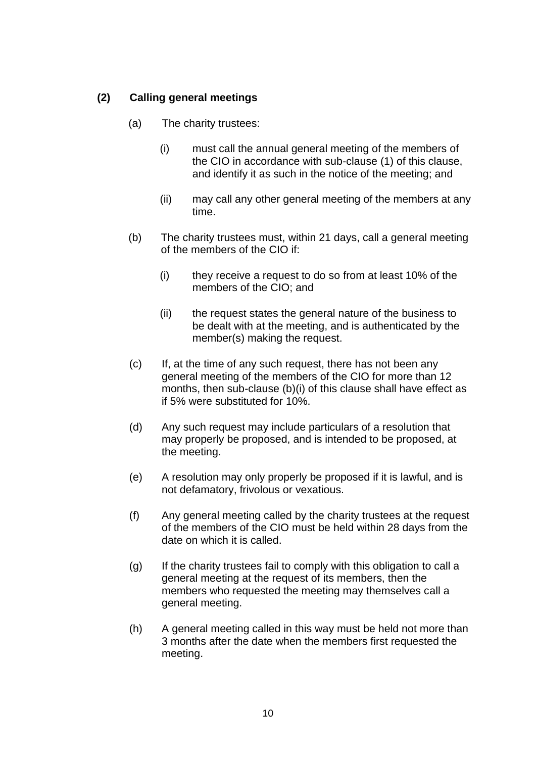# **(2) Calling general meetings**

- (a) The charity trustees:
	- (i) must call the annual general meeting of the members of the CIO in accordance with sub-clause (1) of this clause, and identify it as such in the notice of the meeting; and
	- (ii) may call any other general meeting of the members at any time.
- (b) The charity trustees must, within 21 days, call a general meeting of the members of the CIO if:
	- (i) they receive a request to do so from at least 10% of the members of the CIO; and
	- (ii) the request states the general nature of the business to be dealt with at the meeting, and is authenticated by the member(s) making the request.
- (c) If, at the time of any such request, there has not been any general meeting of the members of the CIO for more than 12 months, then sub-clause (b)(i) of this clause shall have effect as if 5% were substituted for 10%.
- (d) Any such request may include particulars of a resolution that may properly be proposed, and is intended to be proposed, at the meeting.
- (e) A resolution may only properly be proposed if it is lawful, and is not defamatory, frivolous or vexatious.
- (f) Any general meeting called by the charity trustees at the request of the members of the CIO must be held within 28 days from the date on which it is called.
- (g) If the charity trustees fail to comply with this obligation to call a general meeting at the request of its members, then the members who requested the meeting may themselves call a general meeting.
- (h) A general meeting called in this way must be held not more than 3 months after the date when the members first requested the meeting.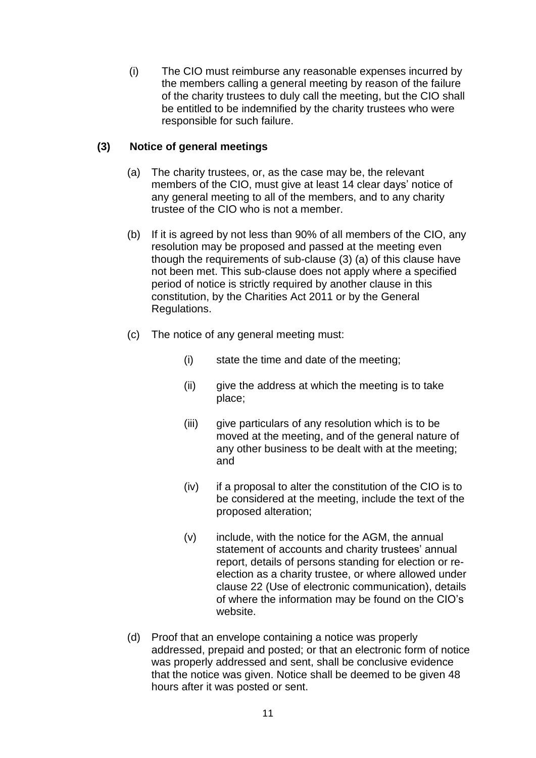(i) The CIO must reimburse any reasonable expenses incurred by the members calling a general meeting by reason of the failure of the charity trustees to duly call the meeting, but the CIO shall be entitled to be indemnified by the charity trustees who were responsible for such failure.

# **(3) Notice of general meetings**

- (a) The charity trustees, or, as the case may be, the relevant members of the CIO, must give at least 14 clear days' notice of any general meeting to all of the members, and to any charity trustee of the CIO who is not a member.
- (b) If it is agreed by not less than 90% of all members of the CIO, any resolution may be proposed and passed at the meeting even though the requirements of sub-clause (3) (a) of this clause have not been met. This sub-clause does not apply where a specified period of notice is strictly required by another clause in this constitution, by the Charities Act 2011 or by the General Regulations.
- (c) The notice of any general meeting must:
	- (i) state the time and date of the meeting;
	- (ii) give the address at which the meeting is to take place;
	- (iii) give particulars of any resolution which is to be moved at the meeting, and of the general nature of any other business to be dealt with at the meeting; and
	- (iv) if a proposal to alter the constitution of the CIO is to be considered at the meeting, include the text of the proposed alteration;
	- (v) include, with the notice for the AGM, the annual statement of accounts and charity trustees' annual report, details of persons standing for election or reelection as a charity trustee, or where allowed under clause 22 (Use of electronic communication), details of where the information may be found on the CIO's website.
- (d) Proof that an envelope containing a notice was properly addressed, prepaid and posted; or that an electronic form of notice was properly addressed and sent, shall be conclusive evidence that the notice was given. Notice shall be deemed to be given 48 hours after it was posted or sent.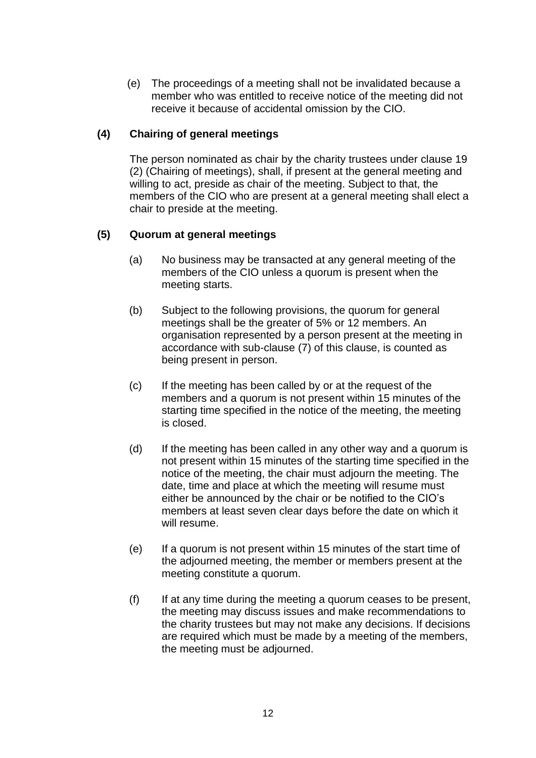(e) The proceedings of a meeting shall not be invalidated because a member who was entitled to receive notice of the meeting did not receive it because of accidental omission by the CIO.

### **(4) Chairing of general meetings**

The person nominated as chair by the charity trustees under clause 19 (2) (Chairing of meetings), shall, if present at the general meeting and willing to act, preside as chair of the meeting. Subject to that, the members of the CIO who are present at a general meeting shall elect a chair to preside at the meeting.

# **(5) Quorum at general meetings**

- (a) No business may be transacted at any general meeting of the members of the CIO unless a quorum is present when the meeting starts.
- (b) Subject to the following provisions, the quorum for general meetings shall be the greater of 5% or 12 members. An organisation represented by a person present at the meeting in accordance with sub-clause (7) of this clause, is counted as being present in person.
- (c) If the meeting has been called by or at the request of the members and a quorum is not present within 15 minutes of the starting time specified in the notice of the meeting, the meeting is closed.
- (d) If the meeting has been called in any other way and a quorum is not present within 15 minutes of the starting time specified in the notice of the meeting, the chair must adjourn the meeting. The date, time and place at which the meeting will resume must either be announced by the chair or be notified to the CIO's members at least seven clear days before the date on which it will resume.
- (e) If a quorum is not present within 15 minutes of the start time of the adjourned meeting, the member or members present at the meeting constitute a quorum.
- (f) If at any time during the meeting a quorum ceases to be present, the meeting may discuss issues and make recommendations to the charity trustees but may not make any decisions. If decisions are required which must be made by a meeting of the members, the meeting must be adjourned.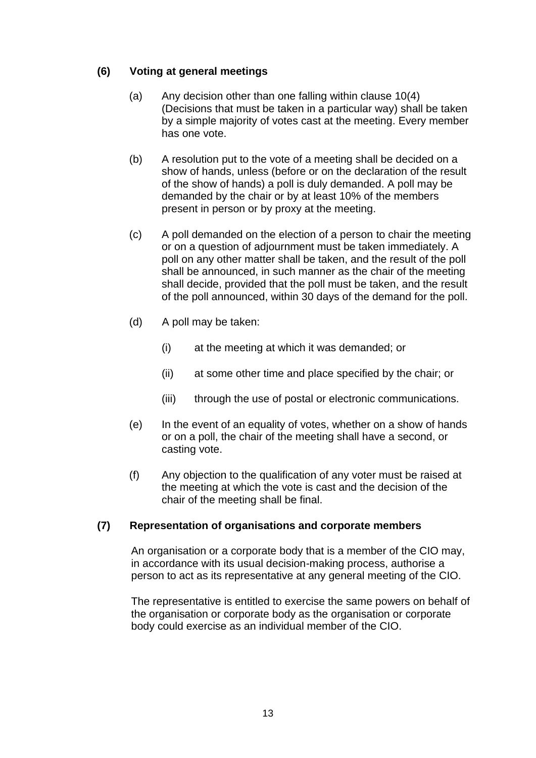# **(6) Voting at general meetings**

- (a) Any decision other than one falling within clause 10(4) (Decisions that must be taken in a particular way) shall be taken by a simple majority of votes cast at the meeting. Every member has one vote.
- (b) A resolution put to the vote of a meeting shall be decided on a show of hands, unless (before or on the declaration of the result of the show of hands) a poll is duly demanded. A poll may be demanded by the chair or by at least 10% of the members present in person or by proxy at the meeting.
- (c) A poll demanded on the election of a person to chair the meeting or on a question of adjournment must be taken immediately. A poll on any other matter shall be taken, and the result of the poll shall be announced, in such manner as the chair of the meeting shall decide, provided that the poll must be taken, and the result of the poll announced, within 30 days of the demand for the poll.
- (d) A poll may be taken:
	- (i) at the meeting at which it was demanded; or
	- (ii) at some other time and place specified by the chair; or
	- (iii) through the use of postal or electronic communications.
- (e) In the event of an equality of votes, whether on a show of hands or on a poll, the chair of the meeting shall have a second, or casting vote.
- (f) Any objection to the qualification of any voter must be raised at the meeting at which the vote is cast and the decision of the chair of the meeting shall be final.

# **(7) Representation of organisations and corporate members**

An organisation or a corporate body that is a member of the CIO may, in accordance with its usual decision-making process, authorise a person to act as its representative at any general meeting of the CIO.

The representative is entitled to exercise the same powers on behalf of the organisation or corporate body as the organisation or corporate body could exercise as an individual member of the CIO.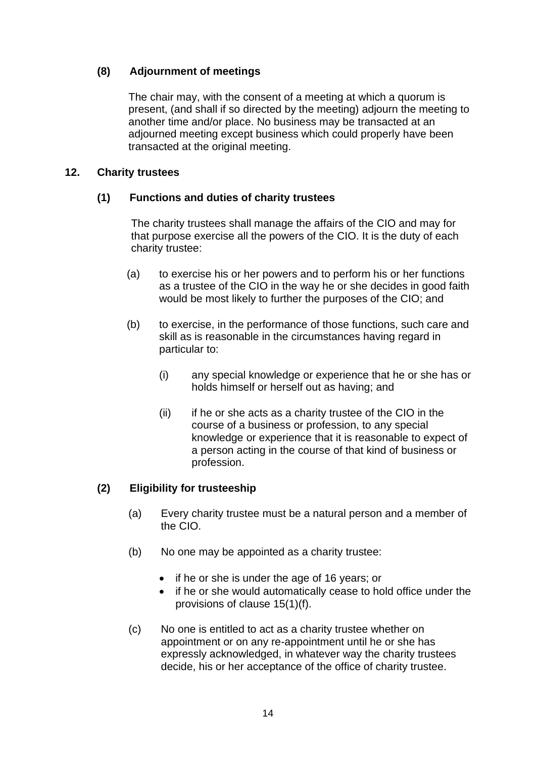# **(8) Adjournment of meetings**

The chair may, with the consent of a meeting at which a quorum is present, (and shall if so directed by the meeting) adjourn the meeting to another time and/or place. No business may be transacted at an adjourned meeting except business which could properly have been transacted at the original meeting.

## **12. Charity trustees**

### **(1) Functions and duties of charity trustees**

The charity trustees shall manage the affairs of the CIO and may for that purpose exercise all the powers of the CIO. It is the duty of each charity trustee:

- (a) to exercise his or her powers and to perform his or her functions as a trustee of the CIO in the way he or she decides in good faith would be most likely to further the purposes of the CIO; and
- (b) to exercise, in the performance of those functions, such care and skill as is reasonable in the circumstances having regard in particular to:
	- (i) any special knowledge or experience that he or she has or holds himself or herself out as having; and
	- (ii) if he or she acts as a charity trustee of the CIO in the course of a business or profession, to any special knowledge or experience that it is reasonable to expect of a person acting in the course of that kind of business or profession.

# **(2) Eligibility for trusteeship**

- (a) Every charity trustee must be a natural person and a member of the CIO.
- (b) No one may be appointed as a charity trustee:
	- if he or she is under the age of 16 years; or
	- if he or she would automatically cease to hold office under the provisions of clause 15(1)(f).
- (c) No one is entitled to act as a charity trustee whether on appointment or on any re-appointment until he or she has expressly acknowledged, in whatever way the charity trustees decide, his or her acceptance of the office of charity trustee.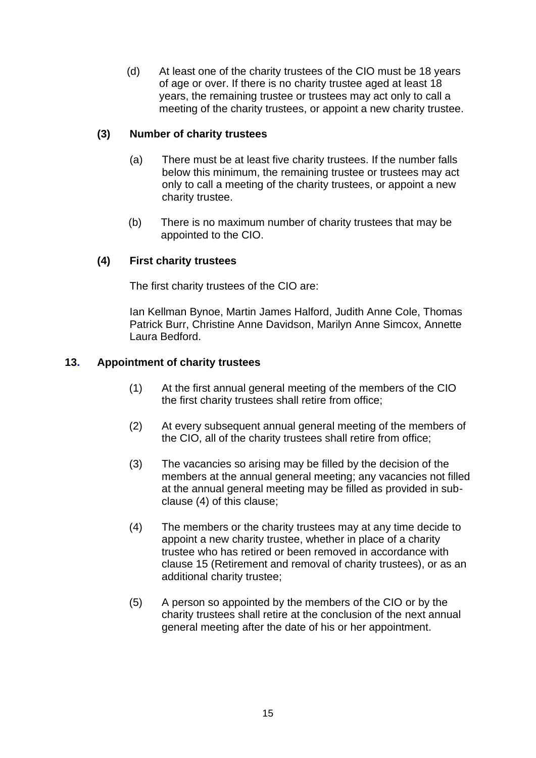(d) At least one of the charity trustees of the CIO must be 18 years of age or over. If there is no charity trustee aged at least 18 years, the remaining trustee or trustees may act only to call a meeting of the charity trustees, or appoint a new charity trustee.

## **(3) Number of charity trustees**

- (a) There must be at least five charity trustees. If the number falls below this minimum, the remaining trustee or trustees may act only to call a meeting of the charity trustees, or appoint a new charity trustee.
- (b) There is no maximum number of charity trustees that may be appointed to the CIO.

### **(4) First charity trustees**

The first charity trustees of the CIO are:

Ian Kellman Bynoe, Martin James Halford, Judith Anne Cole, Thomas Patrick Burr, Christine Anne Davidson, Marilyn Anne Simcox, Annette Laura Bedford.

### **13. Appointment of charity trustees**

- (1) At the first annual general meeting of the members of the CIO the first charity trustees shall retire from office;
- (2) At every subsequent annual general meeting of the members of the CIO, all of the charity trustees shall retire from office;
- (3) The vacancies so arising may be filled by the decision of the members at the annual general meeting; any vacancies not filled at the annual general meeting may be filled as provided in subclause (4) of this clause;
- (4) The members or the charity trustees may at any time decide to appoint a new charity trustee, whether in place of a charity trustee who has retired or been removed in accordance with clause 15 (Retirement and removal of charity trustees), or as an additional charity trustee;
- (5) A person so appointed by the members of the CIO or by the charity trustees shall retire at the conclusion of the next annual general meeting after the date of his or her appointment.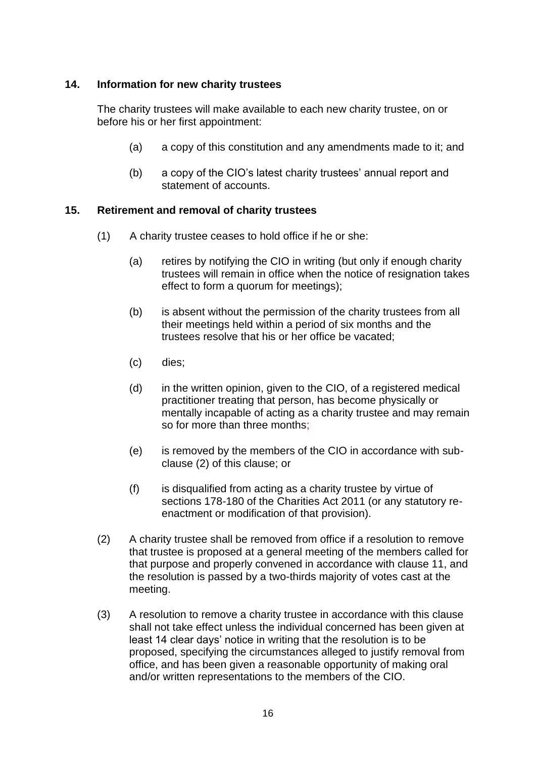### **14. Information for new charity trustees**

The charity trustees will make available to each new charity trustee, on or before his or her first appointment:

- (a) a copy of this constitution and any amendments made to it; and
- (b) a copy of the CIO's latest charity trustees' annual report and statement of accounts.

### **15. Retirement and removal of charity trustees**

- (1) A charity trustee ceases to hold office if he or she:
	- (a) retires by notifying the CIO in writing (but only if enough charity trustees will remain in office when the notice of resignation takes effect to form a quorum for meetings);
	- (b) is absent without the permission of the charity trustees from all their meetings held within a period of six months and the trustees resolve that his or her office be vacated;
	- (c) dies;
	- (d) in the written opinion, given to the CIO, of a registered medical practitioner treating that person, has become physically or mentally incapable of acting as a charity trustee and may remain so for more than three months;
	- (e) is removed by the members of the CIO in accordance with subclause (2) of this clause; or
	- (f) is disqualified from acting as a charity trustee by virtue of sections 178-180 of the Charities Act 2011 (or any statutory reenactment or modification of that provision).
- (2) A charity trustee shall be removed from office if a resolution to remove that trustee is proposed at a general meeting of the members called for that purpose and properly convened in accordance with clause 11, and the resolution is passed by a two-thirds majority of votes cast at the meeting.
- (3) A resolution to remove a charity trustee in accordance with this clause shall not take effect unless the individual concerned has been given at least 14 clear days' notice in writing that the resolution is to be proposed, specifying the circumstances alleged to justify removal from office, and has been given a reasonable opportunity of making oral and/or written representations to the members of the CIO.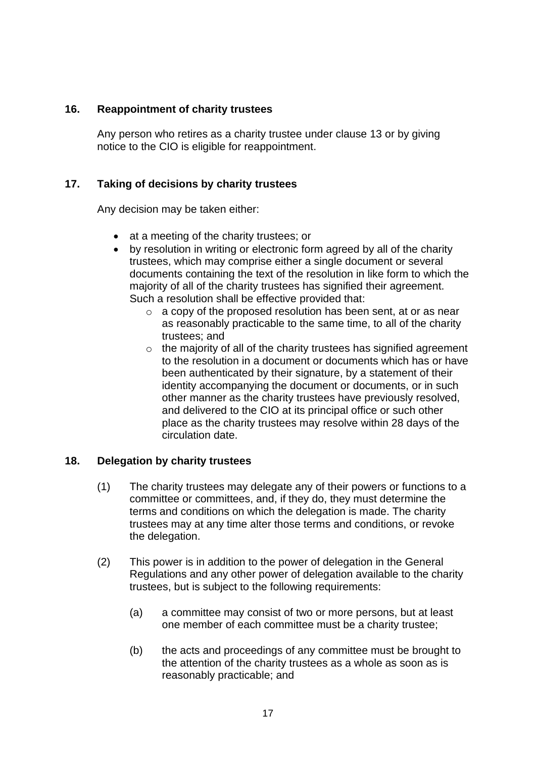### **16. Reappointment of charity trustees**

Any person who retires as a charity trustee under clause 13 or by giving notice to the CIO is eligible for reappointment.

# **17. Taking of decisions by charity trustees**

Any decision may be taken either:

- at a meeting of the charity trustees; or
- by resolution in writing or electronic form agreed by all of the charity trustees, which may comprise either a single document or several documents containing the text of the resolution in like form to which the majority of all of the charity trustees has signified their agreement. Such a resolution shall be effective provided that:
	- o a copy of the proposed resolution has been sent, at or as near as reasonably practicable to the same time, to all of the charity trustees; and
	- $\circ$  the majority of all of the charity trustees has signified agreement to the resolution in a document or documents which has or have been authenticated by their signature, by a statement of their identity accompanying the document or documents, or in such other manner as the charity trustees have previously resolved, and delivered to the CIO at its principal office or such other place as the charity trustees may resolve within 28 days of the circulation date.

# **18. Delegation by charity trustees**

- (1) The charity trustees may delegate any of their powers or functions to a committee or committees, and, if they do, they must determine the terms and conditions on which the delegation is made. The charity trustees may at any time alter those terms and conditions, or revoke the delegation.
- (2) This power is in addition to the power of delegation in the General Regulations and any other power of delegation available to the charity trustees, but is subject to the following requirements:
	- (a) a committee may consist of two or more persons, but at least one member of each committee must be a charity trustee;
	- (b) the acts and proceedings of any committee must be brought to the attention of the charity trustees as a whole as soon as is reasonably practicable; and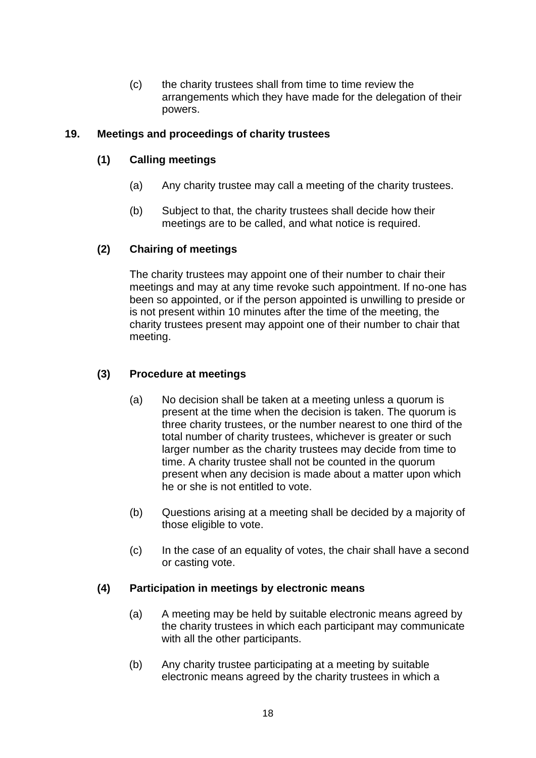(c) the charity trustees shall from time to time review the arrangements which they have made for the delegation of their powers.

### **19. Meetings and proceedings of charity trustees**

## **(1) Calling meetings**

- (a) Any charity trustee may call a meeting of the charity trustees.
- (b) Subject to that, the charity trustees shall decide how their meetings are to be called, and what notice is required.

# **(2) Chairing of meetings**

The charity trustees may appoint one of their number to chair their meetings and may at any time revoke such appointment. If no-one has been so appointed, or if the person appointed is unwilling to preside or is not present within 10 minutes after the time of the meeting, the charity trustees present may appoint one of their number to chair that meeting.

# **(3) Procedure at meetings**

- (a) No decision shall be taken at a meeting unless a quorum is present at the time when the decision is taken. The quorum is three charity trustees, or the number nearest to one third of the total number of charity trustees, whichever is greater or such larger number as the charity trustees may decide from time to time. A charity trustee shall not be counted in the quorum present when any decision is made about a matter upon which he or she is not entitled to vote.
- (b) Questions arising at a meeting shall be decided by a majority of those eligible to vote.
- (c) In the case of an equality of votes, the chair shall have a second or casting vote.

# **(4) Participation in meetings by electronic means**

- (a) A meeting may be held by suitable electronic means agreed by the charity trustees in which each participant may communicate with all the other participants.
- (b) Any charity trustee participating at a meeting by suitable electronic means agreed by the charity trustees in which a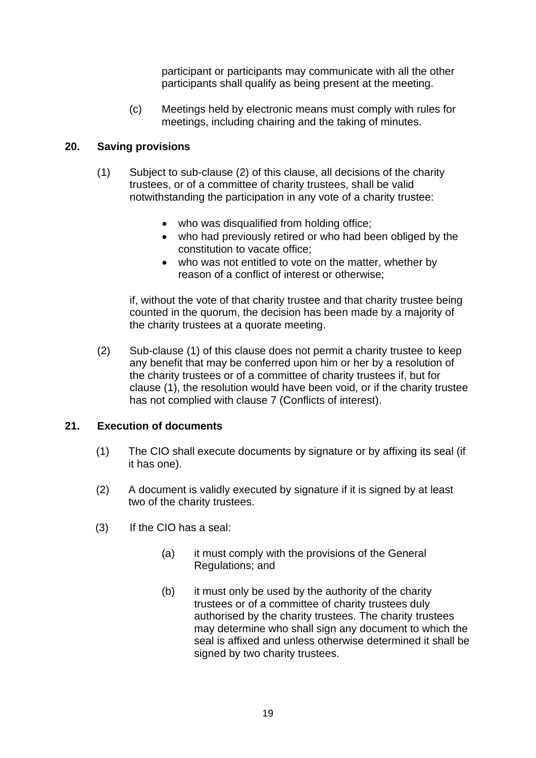participant or participants may communicate with all the other participants shall qualify as being present at the meeting.

(c) Meetings held by electronic means must comply with rules for meetings, including chairing and the taking of minutes.

## **20. Saving provisions**

- (1) Subject to sub-clause (2) of this clause, all decisions of the charity trustees, or of a committee of charity trustees, shall be valid notwithstanding the participation in any vote of a charity trustee:
	- who was disqualified from holding office;
	- who had previously retired or who had been obliged by the constitution to vacate office;
	- who was not entitled to vote on the matter, whether by reason of a conflict of interest or otherwise;

if, without the vote of that charity trustee and that charity trustee being counted in the quorum, the decision has been made by a majority of the charity trustees at a quorate meeting.

(2) Sub-clause (1) of this clause does not permit a charity trustee to keep any benefit that may be conferred upon him or her by a resolution of the charity trustees or of a committee of charity trustees if, but for clause (1), the resolution would have been void, or if the charity trustee has not complied with clause 7 (Conflicts of interest).

#### **21. Execution of documents**

- (1) The CIO shall execute documents by signature or by affixing its seal (if it has one).
- (2) A document is validly executed by signature if it is signed by at least two of the charity trustees.
- (3) If the CIO has a seal:
	- (a) it must comply with the provisions of the General Regulations; and
	- (b) it must only be used by the authority of the charity trustees or of a committee of charity trustees duly authorised by the charity trustees. The charity trustees may determine who shall sign any document to which the seal is affixed and unless otherwise determined it shall be signed by two charity trustees.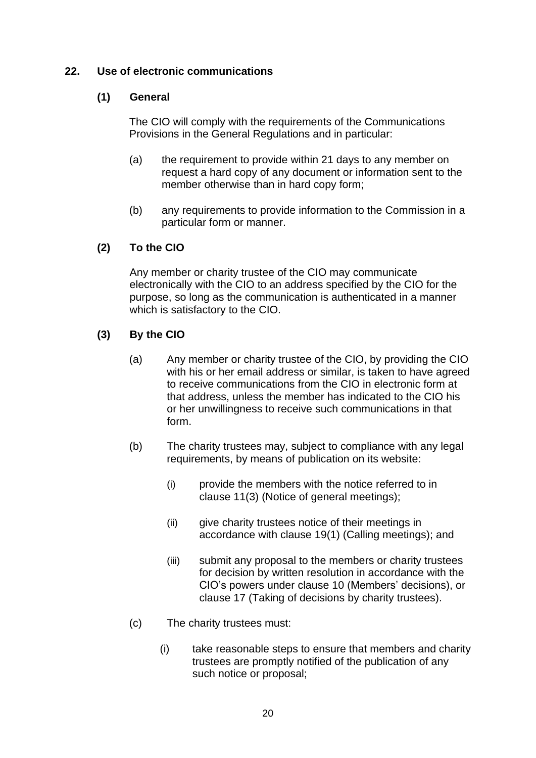### **22. Use of electronic communications**

## **(1) General**

The CIO will comply with the requirements of the Communications Provisions in the General Regulations and in particular:

- (a) the requirement to provide within 21 days to any member on request a hard copy of any document or information sent to the member otherwise than in hard copy form;
- (b) any requirements to provide information to the Commission in a particular form or manner.

# **(2) To the CIO**

Any member or charity trustee of the CIO may communicate electronically with the CIO to an address specified by the CIO for the purpose, so long as the communication is authenticated in a manner which is satisfactory to the CIO.

### **(3) By the CIO**

- (a) Any member or charity trustee of the CIO, by providing the CIO with his or her email address or similar, is taken to have agreed to receive communications from the CIO in electronic form at that address, unless the member has indicated to the CIO his or her unwillingness to receive such communications in that form.
- (b) The charity trustees may, subject to compliance with any legal requirements, by means of publication on its website:
	- (i) provide the members with the notice referred to in clause 11(3) (Notice of general meetings);
	- (ii) give charity trustees notice of their meetings in accordance with clause 19(1) (Calling meetings); and
	- (iii) submit any proposal to the members or charity trustees for decision by written resolution in accordance with the CIO's powers under clause 10 (Members' decisions), or clause 17 (Taking of decisions by charity trustees).
- (c) The charity trustees must:
	- (i) take reasonable steps to ensure that members and charity trustees are promptly notified of the publication of any such notice or proposal;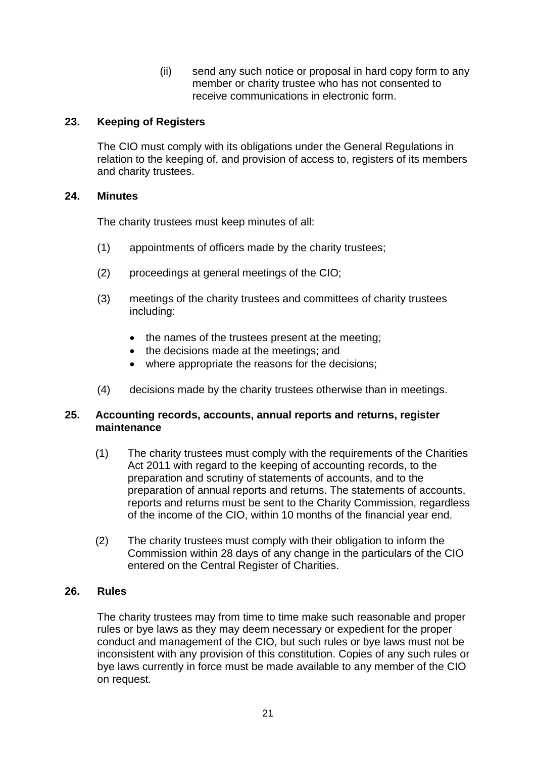(ii) send any such notice or proposal in hard copy form to any member or charity trustee who has not consented to receive communications in electronic form.

### **23. Keeping of Registers**

The CIO must comply with its obligations under the General Regulations in relation to the keeping of, and provision of access to, registers of its members and charity trustees.

#### **24. Minutes**

The charity trustees must keep minutes of all:

- (1) appointments of officers made by the charity trustees;
- (2) proceedings at general meetings of the CIO;
- (3) meetings of the charity trustees and committees of charity trustees including:
	- the names of the trustees present at the meeting;
	- the decisions made at the meetings; and
	- where appropriate the reasons for the decisions;
- (4) decisions made by the charity trustees otherwise than in meetings.

#### **25. Accounting records, accounts, annual reports and returns, register maintenance**

- (1) The charity trustees must comply with the requirements of the Charities Act 2011 with regard to the keeping of accounting records, to the preparation and scrutiny of statements of accounts, and to the preparation of annual reports and returns. The statements of accounts, reports and returns must be sent to the Charity Commission, regardless of the income of the CIO, within 10 months of the financial year end.
- (2) The charity trustees must comply with their obligation to inform the Commission within 28 days of any change in the particulars of the CIO entered on the Central Register of Charities.

### **26. Rules**

The charity trustees may from time to time make such reasonable and proper rules or bye laws as they may deem necessary or expedient for the proper conduct and management of the CIO, but such rules or bye laws must not be inconsistent with any provision of this constitution. Copies of any such rules or bye laws currently in force must be made available to any member of the CIO on request.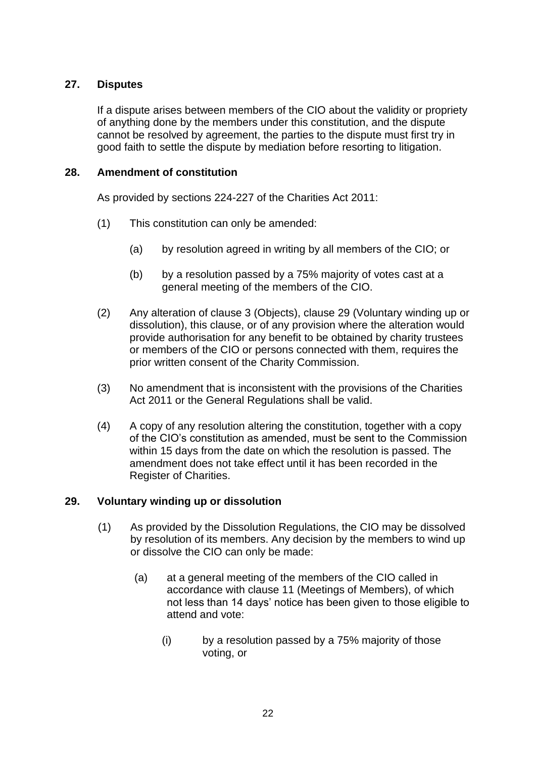## **27. Disputes**

If a dispute arises between members of the CIO about the validity or propriety of anything done by the members under this constitution, and the dispute cannot be resolved by agreement, the parties to the dispute must first try in good faith to settle the dispute by mediation before resorting to litigation.

### **28. Amendment of constitution**

As provided by sections 224-227 of the Charities Act 2011:

- (1) This constitution can only be amended:
	- (a) by resolution agreed in writing by all members of the CIO; or
	- (b) by a resolution passed by a 75% majority of votes cast at a general meeting of the members of the CIO.
- (2) Any alteration of clause 3 (Objects), clause 29 (Voluntary winding up or dissolution), this clause, or of any provision where the alteration would provide authorisation for any benefit to be obtained by charity trustees or members of the CIO or persons connected with them, requires the prior written consent of the Charity Commission.
- (3) No amendment that is inconsistent with the provisions of the Charities Act 2011 or the General Regulations shall be valid.
- (4) A copy of any resolution altering the constitution, together with a copy of the CIO's constitution as amended, must be sent to the Commission within 15 days from the date on which the resolution is passed. The amendment does not take effect until it has been recorded in the Register of Charities.

#### **29. Voluntary winding up or dissolution**

- (1) As provided by the Dissolution Regulations, the CIO may be dissolved by resolution of its members. Any decision by the members to wind up or dissolve the CIO can only be made:
	- (a) at a general meeting of the members of the CIO called in accordance with clause 11 (Meetings of Members), of which not less than 14 days' notice has been given to those eligible to attend and vote:
		- (i) by a resolution passed by a 75% majority of those voting, or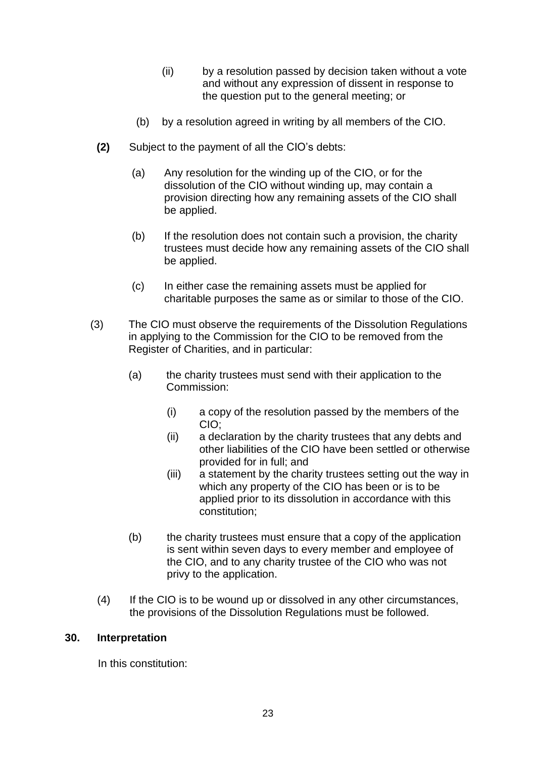- (ii) by a resolution passed by decision taken without a vote and without any expression of dissent in response to the question put to the general meeting; or
- (b) by a resolution agreed in writing by all members of the CIO.
- **(2)** Subject to the payment of all the CIO's debts:
	- (a) Any resolution for the winding up of the CIO, or for the dissolution of the CIO without winding up, may contain a provision directing how any remaining assets of the CIO shall be applied.
	- (b) If the resolution does not contain such a provision, the charity trustees must decide how any remaining assets of the CIO shall be applied.
	- (c) In either case the remaining assets must be applied for charitable purposes the same as or similar to those of the CIO.
- (3) The CIO must observe the requirements of the Dissolution Regulations in applying to the Commission for the CIO to be removed from the Register of Charities, and in particular:
	- (a) the charity trustees must send with their application to the Commission:
		- (i) a copy of the resolution passed by the members of the CIO;
		- (ii) a declaration by the charity trustees that any debts and other liabilities of the CIO have been settled or otherwise provided for in full; and
		- (iii) a statement by the charity trustees setting out the way in which any property of the CIO has been or is to be applied prior to its dissolution in accordance with this constitution;
	- (b) the charity trustees must ensure that a copy of the application is sent within seven days to every member and employee of the CIO, and to any charity trustee of the CIO who was not privy to the application.
	- (4) If the CIO is to be wound up or dissolved in any other circumstances, the provisions of the Dissolution Regulations must be followed.

#### **30. Interpretation**

In this constitution: